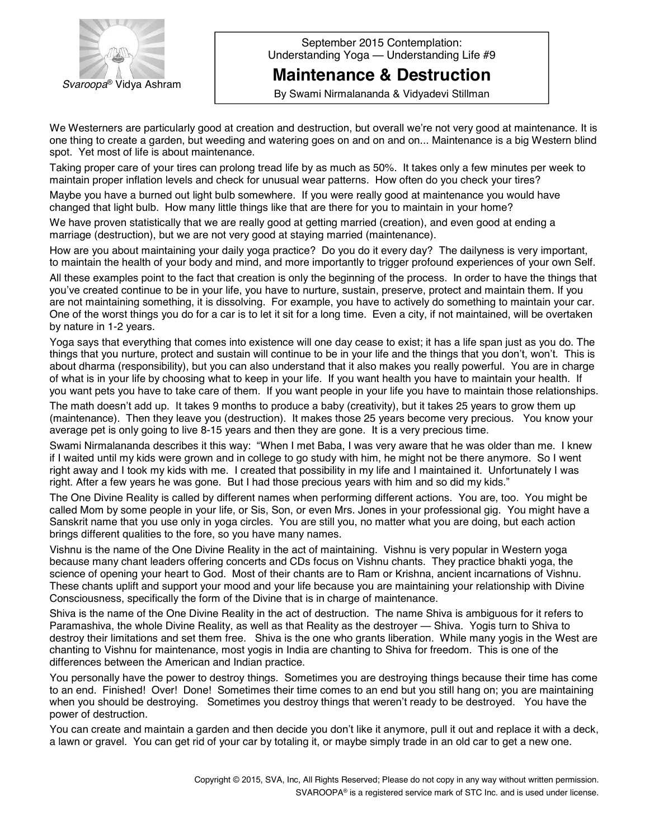

September 2015 Contemplation: Understanding Yoga — Understanding Life #9

**Maintenance & Destruction**

By Swami Nirmalananda & Vidyadevi Stillman

We Westerners are particularly good at creation and destruction, but overall we're not very good at maintenance. It is one thing to create a garden, but weeding and watering goes on and on and on... Maintenance is a big Western blind spot. Yet most of life is about maintenance.

Taking proper care of your tires can prolong tread life by as much as 50%. It takes only a few minutes per week to maintain proper inflation levels and check for unusual wear patterns. How often do you check your tires?

Maybe you have a burned out light bulb somewhere. If you were really good at maintenance you would have changed that light bulb. How many little things like that are there for you to maintain in your home?

We have proven statistically that we are really good at getting married (creation), and even good at ending a marriage (destruction), but we are not very good at staying married (maintenance).

How are you about maintaining your daily yoga practice? Do you do it every day? The dailyness is very important, to maintain the health of your body and mind, and more importantly to trigger profound experiences of your own Self.

All these examples point to the fact that creation is only the beginning of the process. In order to have the things that you've created continue to be in your life, you have to nurture, sustain, preserve, protect and maintain them. If you are not maintaining something, it is dissolving. For example, you have to actively do something to maintain your car. One of the worst things you do for a car is to let it sit for a long time. Even a city, if not maintained, will be overtaken by nature in 1-2 years.

Yoga says that everything that comes into existence will one day cease to exist; it has a life span just as you do. The things that you nurture, protect and sustain will continue to be in your life and the things that you don't, won't. This is about dharma (responsibility), but you can also understand that it also makes you really powerful. You are in charge of what is in your life by choosing what to keep in your life. If you want health you have to maintain your health. If you want pets you have to take care of them. If you want people in your life you have to maintain those relationships.

The math doesnít add up. It takes 9 months to produce a baby (creativity), but it takes 25 years to grow them up (maintenance). Then they leave you (destruction). It makes those 25 years become very precious. You know your average pet is only going to live 8-15 years and then they are gone. It is a very precious time.

Swami Nirmalananda describes it this way: "When I met Baba, I was very aware that he was older than me. I knew if I waited until my kids were grown and in college to go study with him, he might not be there anymore. So I went right away and I took my kids with me. I created that possibility in my life and I maintained it. Unfortunately I was right. After a few years he was gone. But I had those precious years with him and so did my kids."

The One Divine Reality is called by different names when performing different actions. You are, too. You might be called Mom by some people in your life, or Sis, Son, or even Mrs. Jones in your professional gig. You might have a Sanskrit name that you use only in yoga circles. You are still you, no matter what you are doing, but each action brings different qualities to the fore, so you have many names.

Vishnu is the name of the One Divine Reality in the act of maintaining. Vishnu is very popular in Western yoga because many chant leaders offering concerts and CDs focus on Vishnu chants. They practice bhakti yoga, the science of opening your heart to God. Most of their chants are to Ram or Krishna, ancient incarnations of Vishnu. These chants uplift and support your mood and your life because you are maintaining your relationship with Divine Consciousness, specifically the form of the Divine that is in charge of maintenance.

Shiva is the name of the One Divine Reality in the act of destruction. The name Shiva is ambiguous for it refers to Paramashiva, the whole Divine Reality, as well as that Reality as the destroyer — Shiva. Yogis turn to Shiva to destroy their limitations and set them free. Shiva is the one who grants liberation. While many yogis in the West are chanting to Vishnu for maintenance, most yogis in India are chanting to Shiva for freedom. This is one of the differences between the American and Indian practice.

You personally have the power to destroy things. Sometimes you are destroying things because their time has come to an end. Finished! Over! Done! Sometimes their time comes to an end but you still hang on; you are maintaining when you should be destroying. Sometimes you destroy things that weren't ready to be destroyed. You have the power of destruction.

You can create and maintain a garden and then decide you donít like it anymore, pull it out and replace it with a deck, a lawn or gravel. You can get rid of your car by totaling it, or maybe simply trade in an old car to get a new one.